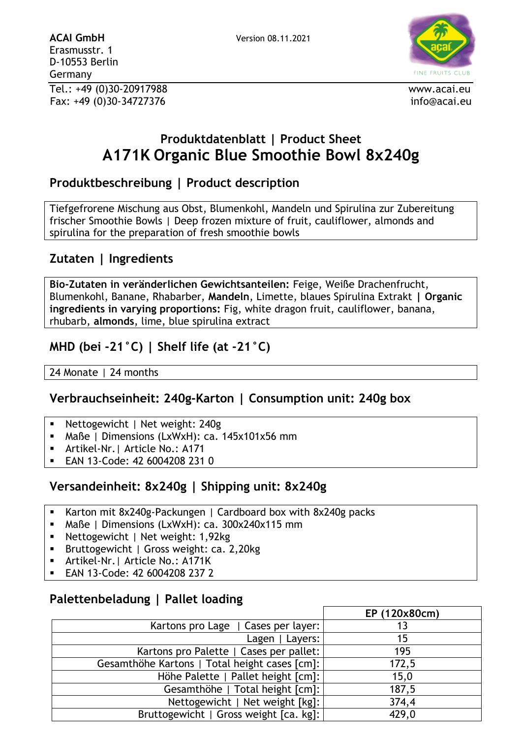

# **Produktdatenblatt | Product Sheet A171K Organic Blue Smoothie Bowl 8x240g**

## **Produktbeschreibung | Product description**

Tiefgefrorene Mischung aus Obst, Blumenkohl, Mandeln und Spirulina zur Zubereitung frischer Smoothie Bowls | Deep frozen mixture of fruit, cauliflower, almonds and spirulina for the preparation of fresh smoothie bowls

## **Zutaten | Ingredients**

**Bio-Zutaten in veränderlichen Gewichtsanteilen:** Feige, Weiße Drachenfrucht, Blumenkohl, Banane, Rhabarber, **Mandeln**, Limette, blaues Spirulina Extrakt **| Organic ingredients in varying proportions:** Fig, white dragon fruit, cauliflower, banana, rhubarb, **almonds**, lime, blue spirulina extract

### **MHD (bei -21°C) | Shelf life (at -21°C)**

24 Monate | 24 months

#### **Verbrauchseinheit: 240g-Karton | Consumption unit: 240g box**

- Nettogewicht | Net weight: 240g
- Maße | Dimensions (LxWxH): ca.  $145x101x56$  mm
- Artikel-Nr.| Article No.: A171
- EAN 13-Code: 42 6004208 231 0

## **Versandeinheit: 8x240g | Shipping unit: 8x240g**

- Karton mit 8x240g-Packungen | Cardboard box with 8x240g packs
- Maße | Dimensions (LxWxH): ca. 300x240x115 mm
- Nettogewicht | Net weight: 1,92kg
- Bruttogewicht | Gross weight: ca. 2,20kg
- Artikel-Nr. | Article No.: A171K
- EAN 13-Code: 42 6004208 237 2

#### **Palettenbeladung | Pallet loading**

|                                               | EP (120x80cm) |
|-----------------------------------------------|---------------|
| Kartons pro Lage   Cases per layer:           | 13            |
| Lagen   Layers:                               | 15            |
| Kartons pro Palette   Cases per pallet:       | 195           |
| Gesamthöhe Kartons   Total height cases [cm]: | 172,5         |
| Höhe Palette   Pallet height [cm]:            | 15,0          |
| Gesamthöhe   Total height [cm]:               | 187,5         |
| Nettogewicht   Net weight [kg]:               | 374,4         |
| Bruttogewicht   Gross weight [ca. kg]:        | 429,0         |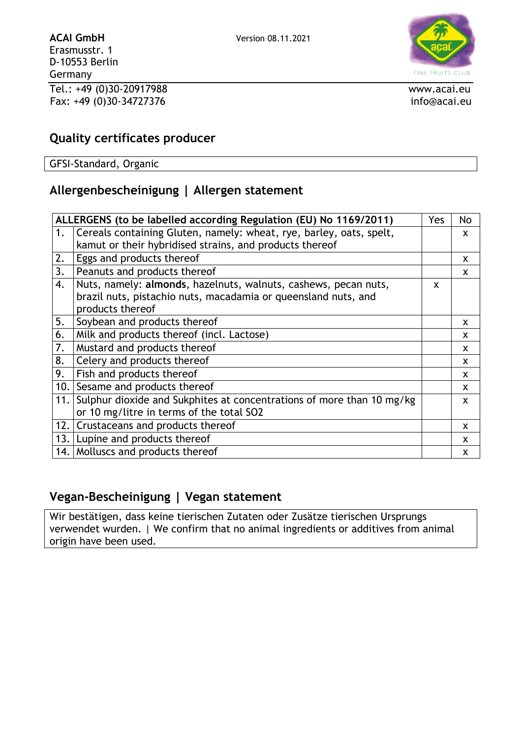

#### **Quality certificates producer**

GFSI-Standard, Organic

## **Allergenbescheinigung | Allergen statement**

|     | ALLERGENS (to be labelled according Regulation (EU) No 1169/2011)         | Yes | No |
|-----|---------------------------------------------------------------------------|-----|----|
| 1.  | Cereals containing Gluten, namely: wheat, rye, barley, oats, spelt,       |     | X  |
|     | kamut or their hybridised strains, and products thereof                   |     |    |
| 2.  | <b>Eggs and products thereof</b>                                          |     | X  |
| 3.  | Peanuts and products thereof                                              |     | X  |
| 4.  | Nuts, namely: almonds, hazelnuts, walnuts, cashews, pecan nuts,           | X   |    |
|     | brazil nuts, pistachio nuts, macadamia or queensland nuts, and            |     |    |
|     | products thereof                                                          |     |    |
| 5.  | Soybean and products thereof                                              |     | x  |
| 6.  | Milk and products thereof (incl. Lactose)                                 |     | X  |
| 7.  | Mustard and products thereof                                              |     | X  |
| 8.  | Celery and products thereof                                               |     | X  |
| 9.  | Fish and products thereof                                                 |     | X  |
| 10. | Sesame and products thereof                                               |     | X  |
|     | 11. Sulphur dioxide and Sukphites at concentrations of more than 10 mg/kg |     | X  |
|     | or 10 mg/litre in terms of the total SO2                                  |     |    |
|     | 12. Crustaceans and products thereof                                      |     | X  |
|     | 13. Lupine and products thereof                                           |     | X  |
|     | 14. Molluscs and products thereof                                         |     | X  |

#### **Vegan-Bescheinigung | Vegan statement**

Wir bestätigen, dass keine tierischen Zutaten oder Zusätze tierischen Ursprungs verwendet wurden. | We confirm that no animal ingredients or additives from animal origin have been used.